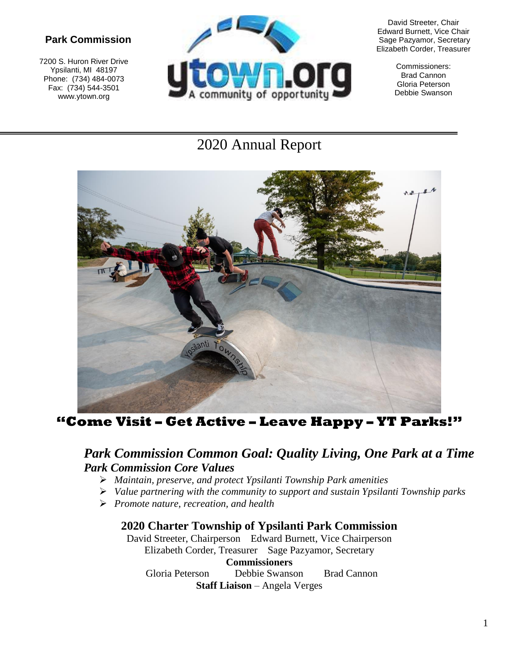# **Park Commission**

7200 S. Huron River Drive Ypsilanti, MI 48197 Phone: (734) 484-0073 Fax: (734) 544-3501 www.ytown.org



David Streeter, Chair Edward Burnett, Vice Chair Sage Pazyamor, Secretary Elizabeth Corder, Treasurer

> Commissioners: Brad Cannon Gloria Peterson Debbie Swanson

# 2020 Annual Report



**"Come Visit – Get Active – Leave Happy – YT Parks!"**

# *Park Commission Common Goal: Quality Living, One Park at a Time Park Commission Core Values*

- *Maintain, preserve, and protect Ypsilanti Township Park amenities*
- *Value partnering with the community to support and sustain Ypsilanti Township parks*
- *Promote nature, recreation, and health*

#### **2020 Charter Township of Ypsilanti Park Commission**

David Streeter, Chairperson Edward Burnett, Vice Chairperson Elizabeth Corder, Treasurer Sage Pazyamor, Secretary **Commissioners** Gloria Peterson Debbie Swanson Brad Cannon **Staff Liaison** – Angela Verges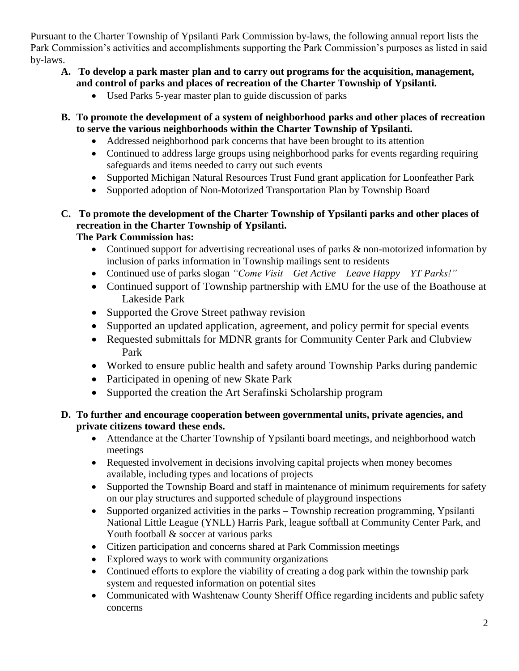Pursuant to the Charter Township of Ypsilanti Park Commission by-laws, the following annual report lists the Park Commission's activities and accomplishments supporting the Park Commission's purposes as listed in said by-laws.

#### **A. To develop a park master plan and to carry out programs for the acquisition, management, and control of parks and places of recreation of the Charter Township of Ypsilanti.**

- Used Parks 5-year master plan to guide discussion of parks
- **B. To promote the development of a system of neighborhood parks and other places of recreation to serve the various neighborhoods within the Charter Township of Ypsilanti.**
	- Addressed neighborhood park concerns that have been brought to its attention
	- Continued to address large groups using neighborhood parks for events regarding requiring safeguards and items needed to carry out such events
	- Supported Michigan Natural Resources Trust Fund grant application for Loonfeather Park
	- Supported adoption of Non-Motorized Transportation Plan by Township Board
- **C. To promote the development of the Charter Township of Ypsilanti parks and other places of recreation in the Charter Township of Ypsilanti.**

# **The Park Commission has:**

- Continued support for advertising recreational uses of parks  $\&$  non-motorized information by inclusion of parks information in Township mailings sent to residents
- Continued use of parks slogan *"Come Visit – Get Active – Leave Happy – YT Parks!"*
- Continued support of Township partnership with EMU for the use of the Boathouse at Lakeside Park
- Supported the Grove Street pathway revision
- Supported an updated application, agreement, and policy permit for special events
- Requested submittals for MDNR grants for Community Center Park and Clubview Park
- Worked to ensure public health and safety around Township Parks during pandemic
- Participated in opening of new Skate Park
- Supported the creation the Art Serafinski Scholarship program

#### **D. To further and encourage cooperation between governmental units, private agencies, and private citizens toward these ends.**

- Attendance at the Charter Township of Ypsilanti board meetings, and neighborhood watch meetings
- Requested involvement in decisions involving capital projects when money becomes available, including types and locations of projects
- Supported the Township Board and staff in maintenance of minimum requirements for safety on our play structures and supported schedule of playground inspections
- Supported organized activities in the parks Township recreation programming, Ypsilanti National Little League (YNLL) Harris Park, league softball at Community Center Park, and Youth football & soccer at various parks
- Citizen participation and concerns shared at Park Commission meetings
- Explored ways to work with community organizations
- Continued efforts to explore the viability of creating a dog park within the township park system and requested information on potential sites
- Communicated with Washtenaw County Sheriff Office regarding incidents and public safety concerns